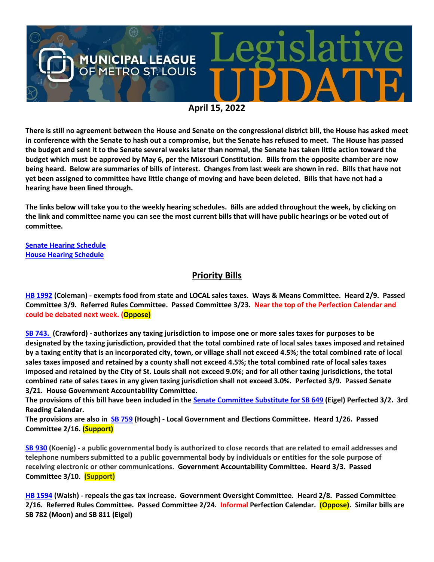

**There is still no agreement between the House and Senate on the congressional district bill, the House has asked meet in conference with the Senate to hash out a compromise, but the Senate has refused to meet. The House has passed the budget and sent it to the Senate several weeks later than normal, the Senate has taken little action toward the budget which must be approved by May 6, per the Missouri Constitution. Bills from the opposite chamber are now being heard. Below are summaries of bills of interest. Changes from last week are shown in red. Bills that have not yet been assigned to committee have little change of moving and have been deleted. Bills that have not had a hearing have been lined through.**

**The links below will take you to the weekly hearing schedules. Bills are added throughout the week, by clicking on the link and committee name you can see the most current bills that will have public hearings or be voted out of committee.**

**[Senate Hearing Schedule](https://www.senate.mo.gov/hearingsschedule/hrings.htm) [House Hearing Schedule](https://www.house.mo.gov/AllHearings.aspx?sdid=01182022)** 

## **Priority Bills**

**[HB 1992](https://house.mo.gov/Bill.aspx?bill=HB1992&year=2022&code=R) (Coleman) - exempts food from state and LOCAL sales taxes. Ways & Means Committee. Heard 2/9. Passed Committee 3/9. Referred Rules Committee. Passed Committee 3/23. Near the top of the Perfection Calendar and could be debated next week. (Oppose)**

**[SB 743.](https://www.senate.mo.gov/22info/BTS_Web/Bill.aspx?SessionType=R&BillID=71260668) (Crawford) - authorizes any taxing jurisdiction to impose one or more sales taxes for purposes to be designated by the taxing jurisdiction, provided that the total combined rate of local sales taxes imposed and retained by a taxing entity that is an incorporated city, town, or village shall not exceed 4.5%; the total combined rate of local sales taxes imposed and retained by a county shall not exceed 4.5%; the total combined rate of local sales taxes imposed and retained by the City of St. Louis shall not exceed 9.0%; and for all other taxing jurisdictions, the total combined rate of sales taxes in any given taxing jurisdiction shall not exceed 3.0%. Perfected 3/9. Passed Senate 3/21. House Government Accountability Committee.**

**The provisions of this bill have been included in the [Senate Committee Substitute for SB 649](https://www.senate.mo.gov/22info/BTS_Web/Bill.aspx?SessionType=R&BillID=71259737) (Eigel) Perfected 3/2. 3rd Reading Calendar.** 

**The provisions are also in [SB 759](https://www.senate.mo.gov/22info/BTS_Web/Bill.aspx?SessionType=R&BillID=71259645) (Hough) - Local Government and Elections Committee. Heard 1/26. Passed Committee 2/16. (Support)** 

**[SB 930](https://www.senate.mo.gov/22info/BTS_Web/Bill.aspx?SessionType=R&BillID=71259916) (Koenig) - a public governmental body is authorized to close records that are related to email addresses and telephone numbers submitted to a public governmental body by individuals or entities for the sole purpose of receiving electronic or other communications. Government Accountability Committee. Heard 3/3. Passed Committee 3/10. (Support)**

**[HB 1594](https://house.mo.gov/Bill.aspx?bill=HB1594&year=2022&code=R) (Walsh) - repeals the gas tax increase. Government Oversight Committee. Heard 2/8. Passed Committee 2/16. Referred Rules Committee. Passed Committee 2/24. Informal Perfection Calendar. (Oppose). Similar bills are SB 782 (Moon) and SB 811 (Eigel)**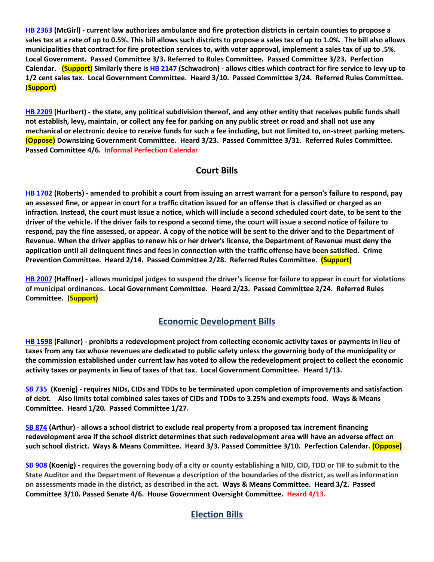**[HB 2363](https://www.house.mo.gov/bill.aspx?bill=HB2363&year=2022&code=R) (McGirl) - current law authorizes ambulance and fire protection districts in certain counties to propose a sales tax at a rate of up to 0.5%. This bill allows such districts to propose a sales tax of up to 1.0%. The bill also allows municipalities that contract for fire protection services to, with voter approval, implement a sales tax of up to .5%. Local Government. Passed Committee 3/3. Referred to Rules Committee. Passed Committee 3/23. Perfection Calendar. (Support) Similarly there i[s HB 2147](https://house.mo.gov/Bill.aspx?bill=HB2147&year=2022&code=R) (Schwadron) - allows cities which contract for fire service to levy up to 1/2 cent sales tax. Local Government Committee. Heard 3/10. Passed Committee 3/24. Referred Rules Committee. (Support)**

**[HB 2209](https://house.mo.gov/Bill.aspx?bill=HB2209&year=2022&code=R) (Hurlbert) - the state, any political subdivision thereof, and any other entity that receives public funds shall not establish, levy, maintain, or collect any fee for parking on any public street or road and shall not use any mechanical or electronic device to receive funds for such a fee including, but not limited to, on-street parking meters. (Oppose) Downsizing Government Committee. Heard 3/23. Passed Committee 3/31. Referred Rules Committee. Passed Committee 4/6. Informal Perfection Calendar**

## **Court Bills**

**[HB 1702](https://house.mo.gov/Bill.aspx?bill=HB1702&year=2022&code=R) (Roberts) - amended to prohibit a court from issuing an arrest warrant for a person's failure to respond, pay an assessed fine, or appear in court for a traffic citation issued for an offense that is classified or charged as an infraction. Instead, the court must issue a notice, which will include a second scheduled court date, to be sent to the driver of the vehicle. If the driver fails to respond a second time, the court will issue a second notice of failure to respond, pay the fine assessed, or appear. A copy of the notice will be sent to the driver and to the Department of Revenue. When the driver applies to renew his or her driver's license, the Department of Revenue must deny the application until all delinquent fines and fees in connection with the traffic offense have been satisfied. Crime Prevention Committee. Heard 2/14. Passed Committee 2/28. Referred Rules Committee. (Support)** 

**[HB 2007](https://house.mo.gov/Bill.aspx?bill=HB2007&year=2022&code=R) (Haffner) - allows municipal judges to suspend the driver's license for failure to appear in court for violations of municipal ordinances. Local Government Committee. Heard 2/23. Passed Committee 2/24. Referred Rules Committee. (Support)**

## **Economic Development Bills**

**[HB 1598](https://house.mo.gov/Bill.aspx?bill=HB1598&year=2022&code=R) (Falkner) - prohibits a redevelopment project from collecting economic activity taxes or payments in lieu of taxes from any tax whose revenues are dedicated to public safety unless the governing body of the municipality or the commission established under current law has voted to allow the redevelopment project to collect the economic activity taxes or payments in lieu of taxes of that tax. Local Government Committee. Heard 1/13.**

**[SB 735](https://www.senate.mo.gov/22info/BTS_Web/Bill.aspx?SessionType=R&BillID=71259902%20%20) (Koenig) - requires NIDs, CIDs and TDDs to be terminated upon completion of improvements and satisfaction of debt. Also limits total combined sales taxes of CIDs and TDDs to 3.25% and exempts food. Ways & Means Committee. Heard 1/20. Passed Committee 1/27.**

**[SB 874](https://www.senate.mo.gov/22info/BTS_Web/Bill.aspx?SessionType=R&BillID=71259609) (Arthur) - allows a school district to exclude real property from a proposed tax increment financing redevelopment area if the school district determines that such redevelopment area will have an adverse effect on such school district. Ways & Means Committee. Heard 3/3. Passed Committee 3/10. Perfection Calendar. (Oppose)**

**[SB 908](https://www.senate.mo.gov/22info/BTS_Web/Bill.aspx?SessionType=R&BillID=71259913) (Koenig) - requires the governing body of a city or county establishing a NID, CID, TDD or TIF to submit to the State Auditor and the Department of Revenue a description of the boundaries of the district, as well as information on assessments made in the district, as described in the act. Ways & Means Committee. Heard 3/2. Passed Committee 3/10. Passed Senate 4/6. House Government Oversight Committee. Heard 4/13.**

## **Election Bills**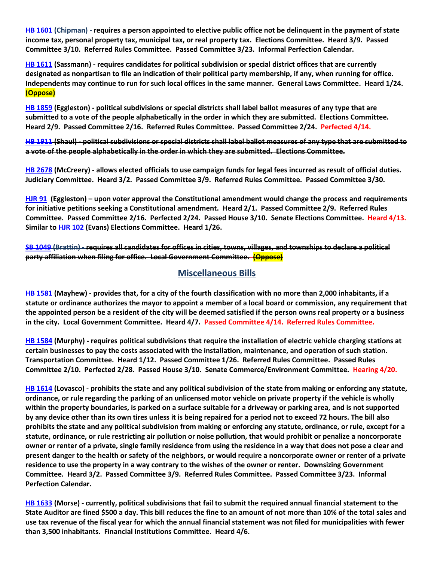**[HB 1601](https://house.mo.gov/Bill.aspx?bill=HB1601&year=2022&code=R) (Chipman) - requires a person appointed to elective public office not be delinquent in the payment of state income tax, personal property tax, municipal tax, or real property tax. Elections Committee. Heard 3/9. Passed Committee 3/10. Referred Rules Committee. Passed Committee 3/23. Informal Perfection Calendar.**

**HB [1611](https://house.mo.gov/Bill.aspx?bill=HB1611&year=2022&code=R) (Sassmann) - requires candidates for political subdivision or special district offices that are currently designated as nonpartisan to file an indication of their political party membership, if any, when running for office. Independents may continue to run for such local offices in the same manner. General Laws Committee. Heard 1/24. (Oppose)**

**[HB 1859](https://house.mo.gov/Bill.aspx?bill=HB1859&year=2022&code=R) (Eggleston) - political subdivisions or special districts shall label ballot measures of any type that are submitted to a vote of the people alphabetically in the order in which they are submitted. Elections Committee. Heard 2/9. Passed Committee 2/16. Referred Rules Committee. Passed Committee 2/24. Perfected 4/14.**

**[HB 1911](https://house.mo.gov/Bill.aspx?bill=HB1911&year=2022&code=R) (Shaul) - political subdivisions or special districts shall label ballot measures of any type that are submitted to a vote of the people alphabetically in the order in which they are submitted. Elections Committee.**

**[HB 2678](https://www.house.mo.gov/Bill.aspx?bill=HB2678&year=2022&code=R) (McCreery) - allows elected officials to use campaign funds for legal fees incurred as result of official duties. Judiciary Committee. Heard 3/2. Passed Committee 3/9. Referred Rules Committee. Passed Committee 3/30.**

**[HJR 91](https://www.house.mo.gov/Bill.aspx?bill=HJR91&year=2022&code=R) [\(Eggleston\)](https://www.house.mo.gov/MemberDetails.aspx?year=2022&district=2) – upon voter approval the Constitutional amendment would change the process and requirements for initiative petitions seeking a Constitutional amendment. Heard 2/1. Passed Committee 2/9. Referred Rules Committee. Passed Committee 2/16. Perfected 2/24. Passed House 3/10. Senate Elections Committee. Heard 4/13. Similar to [HJR 102](https://www.house.mo.gov/Bill.aspx?bill=HJR102&year=2022&code=R) (Evans) Elections Committee. Heard 1/26.** 

**[SB 1049](https://www.senate.mo.gov/22info/BTS_Web/Bill.aspx?SessionType=R&BillID=73129349) (Brattin) - requires all candidates for offices in cities, towns, villages, and townships to declare a political party affiliation when filing for office. Local Government Committee. (Oppose)**

#### **Miscellaneous Bills**

**[HB 1581](https://house.mo.gov/Bill.aspx?bill=HB1581&year=2022&code=R) (Mayhew) - provides that, for a city of the fourth classification with no more than 2,000 inhabitants, if a statute or ordinance authorizes the mayor to appoint a member of a local board or commission, any requirement that the appointed person be a resident of the city will be deemed satisfied if the person owns real property or a business in the city. Local Government Committee. Heard 4/7. Passed Committee 4/14. Referred Rules Committee.**

**[HB 1584](https://house.mo.gov/Bill.aspx?bill=HB1584&year=2022&code=R) (Murphy) - requires political subdivisions that require the installation of electric vehicle charging stations at certain businesses to pay the costs associated with the installation, maintenance, and operation of such station. Transportation Committee. Heard 1/12. Passed Committee 1/26. Referred Rules Committee. Passed Rules Committee 2/10. Perfected 2/28. Passed House 3/10. Senate Commerce/Environment Committee. Hearing 4/20.**

**[HB 1614](https://house.mo.gov/Bill.aspx?bill=HB1614&year=2022&code=R) (Lovasco) - prohibits the state and any political subdivision of the state from making or enforcing any statute, ordinance, or rule regarding the parking of an unlicensed motor vehicle on private property if the vehicle is wholly within the property boundaries, is parked on a surface suitable for a driveway or parking area, and is not supported by any device other than its own tires unless it is being repaired for a period not to exceed 72 hours. The bill also prohibits the state and any political subdivision from making or enforcing any statute, ordinance, or rule, except for a statute, ordinance, or rule restricting air pollution or noise pollution, that would prohibit or penalize a noncorporate owner or renter of a private, single family residence from using the residence in a way that does not pose a clear and present danger to the health or safety of the neighbors, or would require a noncorporate owner or renter of a private residence to use the property in a way contrary to the wishes of the owner or renter. Downsizing Government Committee. Heard 3/2. Passed Committee 3/9. Referred Rules Committee. Passed Committee 3/23. Informal Perfection Calendar.**

**[HB 1633](https://house.mo.gov/Bill.aspx?bill=HB1633&year=2022&code=R) (Morse) - currently, political subdivisions that fail to submit the required annual financial statement to the State Auditor are fined \$500 a day. This bill reduces the fine to an amount of not more than 10% of the total sales and use tax revenue of the fiscal year for which the annual financial statement was not filed for municipalities with fewer than 3,500 inhabitants. Financial Institutions Committee. Heard 4/6.**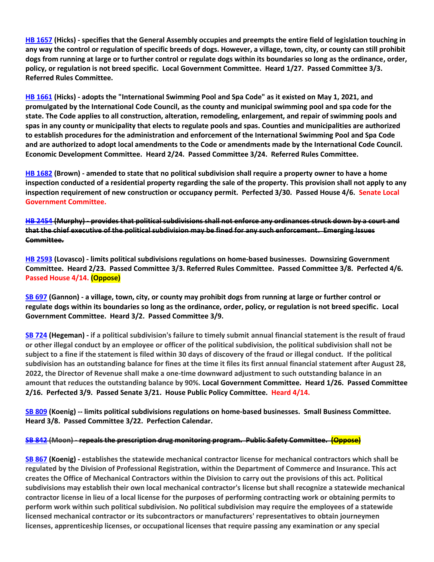**[HB 1657](https://house.mo.gov/Bill.aspx?bill=HB1657&year=2022&code=R) (Hicks) - specifies that the General Assembly occupies and preempts the entire field of legislation touching in any way the control or regulation of specific breeds of dogs. However, a village, town, city, or county can still prohibit dogs from running at large or to further control or regulate dogs within its boundaries so long as the ordinance, order, policy, or regulation is not breed specific. Local Government Committee. Heard 1/27. Passed Committee 3/3. Referred Rules Committee.**

**[HB 1661](https://house.mo.gov/Bill.aspx?bill=HB1661&year=2022&code=R) (Hicks) - adopts the "International Swimming Pool and Spa Code" as it existed on May 1, 2021, and promulgated by the International Code Council, as the county and municipal swimming pool and spa code for the state. The Code applies to all construction, alteration, remodeling, enlargement, and repair of swimming pools and spas in any county or municipality that elects to regulate pools and spas. Counties and municipalities are authorized to establish procedures for the administration and enforcement of the International Swimming Pool and Spa Code and are authorized to adopt local amendments to the Code or amendments made by the International Code Council. Economic Development Committee. Heard 2/24. Passed Committee 3/24. Referred Rules Committee.**

**[HB 1682](https://www.house.mo.gov/Bill.aspx?bill=HB1682&year=2022&code=R) (Brown) - amended to state that no political subdivision shall require a property owner to have a home inspection conducted of a residential property regarding the sale of the property. This provision shall not apply to any inspection requirement of new construction or occupancy permit. Perfected 3/30. Passed House 4/6. Senate Local Government Committee.**

**[HB 2454](https://house.mo.gov/Bill.aspx?bill=HB2454&year=2022&code=R) (Murphy) - provides that political subdivisions shall not enforce any ordinances struck down by a court and that the chief executive of the political subdivision may be fined for any such enforcement. Emerging Issues Committee.**

**[HB 2593](https://www.house.mo.gov/Bill.aspx?bill=HB2593&year=2022&code=R) (Lovasco) - limits political subdivisions regulations on home-based businesses. Downsizing Government Committee. Heard 2/23. Passed Committee 3/3. Referred Rules Committee. Passed Committee 3/8. Perfected 4/6. Passed House 4/14. (Oppose)**

**[SB 697](https://www.senate.mo.gov/22info/BTS_Web/Bill.aspx?SessionType=R&BillID=71259741) (Gannon) - a village, town, city, or county may prohibit dogs from running at large or further control or regulate dogs within its boundaries so long as the ordinance, order, policy, or regulation is not breed specific. Local Government Committee. Heard 3/2. Passed Committee 3/9.**

**[SB 724](https://www.senate.mo.gov/22info/BTS_Web/Bill.aspx?SessionType=R&BillID=71259818) (Hegeman) - if a political subdivision's failure to timely submit annual financial statement is the result of fraud or other illegal conduct by an employee or officer of the political subdivision, the political subdivision shall not be subject to a fine if the statement is filed within 30 days of discovery of the fraud or illegal conduct. If the political subdivision has an outstanding balance for fines at the time it files its first annual financial statement after August 28, 2022, the Director of Revenue shall make a one-time downward adjustment to such outstanding balance in an amount that reduces the outstanding balance by 90%. Local Government Committee. Heard 1/26. Passed Committee 2/16. Perfected 3/9. Passed Senate 3/21. House Public Policy Committee. Heard 4/14.**

**[SB 809](https://www.senate.mo.gov/22info/BTS_Web/Bill.aspx?SessionType=R&BillID=71259907) (Koenig) -- limits political subdivisions regulations on home-based businesses. Small Business Committee. Heard 3/8. Passed Committee 3/22. Perfection Calendar.**

#### **[SB 842](https://www.senate.mo.gov/22info/BTS_Web/Bill.aspx?SessionType=R&BillID=71259877) (Moon) - repeals the prescription drug monitoring program. Public Safety Committee. (Oppose)**

**[SB 867](https://www.senate.mo.gov/22info/BTS_Web/Bill.aspx?SessionType=R&BillID=71259909) (Koenig) - establishes the statewide mechanical contractor license for mechanical contractors which shall be regulated by the Division of Professional Registration, within the Department of Commerce and Insurance. This act creates the Office of Mechanical Contractors within the Division to carry out the provisions of this act. Political subdivisions may establish their own local mechanical contractor's license but shall recognize a statewide mechanical contractor license in lieu of a local license for the purposes of performing contracting work or obtaining permits to perform work within such political subdivision. No political subdivision may require the employees of a statewide licensed mechanical contractor or its subcontractors or manufacturers' representatives to obtain journeymen licenses, apprenticeship licenses, or occupational licenses that require passing any examination or any special**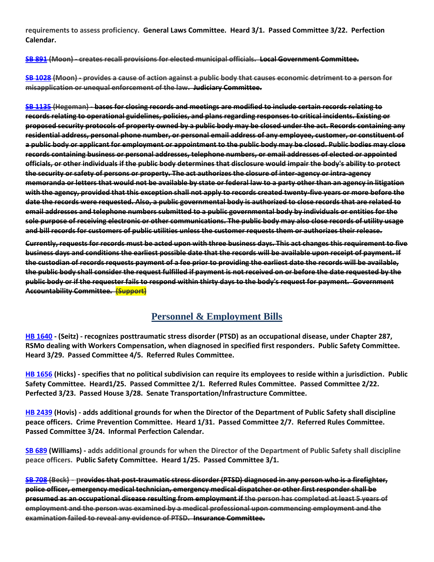**requirements to assess proficiency. General Laws Committee. Heard 3/1. Passed Committee 3/22. Perfection Calendar.**

**[SB 891](https://www.senate.mo.gov/22info/BTS_Web/Bill.aspx?SessionType=R&BillID=71259885) (Moon) - creates recall provisions for elected municipal officials. Local Government Committee.**

**[SB 1028](https://www.senate.mo.gov/22info/BTS_Web/Bill.aspx?SessionType=R&BillID=72748795) (Moon) - provides a cause of action against a public body that causes economic detriment to a person for misapplication or unequal enforcement of the law. Judiciary Committee.**

**[SB 1135](https://www.senate.mo.gov/22info/BTS_Web/Bill.aspx?SessionType=R&BillID=75554857) (Hegeman) - bases for closing records and meetings are modified to include certain records relating to records relating to operational guidelines, policies, and plans regarding responses to critical incidents. Existing or proposed security protocols of property owned by a public body may be closed under the act. Records containing any residential address, personal phone number, or personal email address of any employee, customer, or constituent of a public body or applicant for employment or appointment to the public body may be closed. Public bodies may close records containing business or personal addresses, telephone numbers, or email addresses of elected or appointed officials, or other individuals if the public body determines that disclosure would impair the body's ability to protect the security or safety of persons or property. The act authorizes the closure of inter-agency or intra-agency memoranda or letters that would not be available by state or federal law to a party other than an agency in litigation with the agency, provided that this exception shall not apply to records created twenty-five years or more before the date the records were requested. Also, a public governmental body is authorized to close records that are related to email addresses and telephone numbers submitted to a public governmental body by individuals or entities for the sole purpose of receiving electronic or other communications. The public body may also close records of utility usage and bill records for customers of public utilities unless the customer requests them or authorizes their release.**

**Currently, requests for records must be acted upon with three business days. This act changes this requirement to five business days and conditions the earliest possible date that the records will be available upon receipt of payment. If the custodian of records requests payment of a fee prior to providing the earliest date the records will be available, the public body shall consider the request fulfilled if payment is not received on or before the date requested by the public body or if the requester fails to respond within thirty days to the body's request for payment. Government Accountability Committee. (Support)**

## **Personnel & Employment Bills**

**[HB 1640](https://house.mo.gov/Bill.aspx?bill=HB1640&year=2022&code=R) - (Seitz) - recognizes posttraumatic stress disorder (PTSD) as an occupational disease, under Chapter 287, RSMo dealing with Workers Compensation, when diagnosed in specified first responders. Public Safety Committee. Heard 3/29. Passed Committee 4/5. Referred Rules Committee.**

**[HB 1656](https://house.mo.gov/Bill.aspx?bill=HB1656&year=2022&code=R) (Hicks) - specifies that no political subdivision can require its employees to reside within a jurisdiction. Public Safety Committee. Heard1/25. Passed Committee 2/1. Referred Rules Committee. Passed Committee 2/22. Perfected 3/23. Passed House 3/28. Senate Transportation/Infrastructure Committee.**

**[HB 2439](https://house.mo.gov/Bill.aspx?bill=HB2439&year=2022&code=R) (Hovis) - adds additional grounds for when the Director of the Department of Public Safety shall discipline peace officers. Crime Prevention Committee. Heard 1/31. Passed Committee 2/7. Referred Rules Committee. Passed Committee 3/24. Informal Perfection Calendar.**

**[SB 689](https://www.senate.mo.gov/22info/BTS_Web/Bill.aspx?SessionType=R&BillID=71259715) (Williams) - adds additional grounds for when the Director of the Department of Public Safety shall discipline peace officers. Public Safety Committee. Heard 1/25. Passed Committee 3/1.**

**[SB 708](https://www.senate.mo.gov/22info/BTS_Web/Bill.aspx?SessionType=R&BillID=71259735) (Beck) - provides that post-traumatic stress disorder (PTSD) diagnosed in any person who is a firefighter, police officer, emergency medical technician, emergency medical dispatcher or other first responder shall be presumed as an occupational disease resulting from employment if the person has completed at least 5 years of employment and the person was examined by a medical professional upon commencing employment and the examination failed to reveal any evidence of PTSD. Insurance Committee.**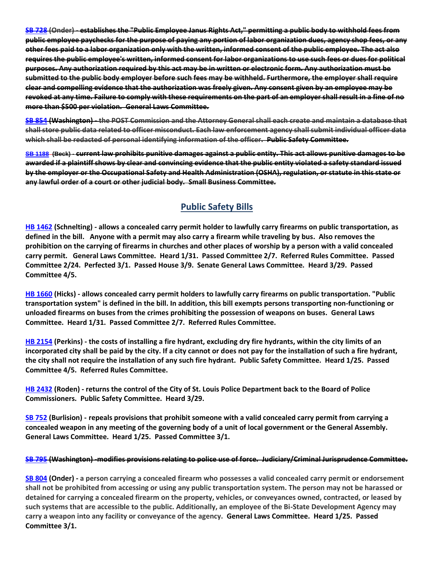**[SB 728](https://www.senate.mo.gov/22info/BTS_Web/Bill.aspx?SessionType=R&BillID=71259712) (Onder) - establishes the "Public Employee Janus Rights Act," permitting a public body to withhold fees from public employee paychecks for the purpose of paying any portion of labor organization dues, agency shop fees, or any other fees paid to a labor organization only with the written, informed consent of the public employee. The act also requires the public employee's written, informed consent for labor organizations to use such fees or dues for political purposes. Any authorization required by this act may be in written or electronic form. Any authorization must be submitted to the public body employer before such fees may be withheld. Furthermore, the employer shall require clear and compelling evidence that the authorization was freely given. Any consent given by an employee may be revoked at any time. Failure to comply with these requirements on the part of an employer shall result in a fine of no more than \$500 per violation. General Laws Committee.**

**[SB 854](https://www.senate.mo.gov/22info/BTS_Web/Bill.aspx?SessionType=R&BillID=71259653) (Washington) - the POST Commission and the Attorney General shall each create and maintain a database that shall store public data related to officer misconduct. Each law enforcement agency shall submit individual officer data which shall be redacted of personal identifying information of the officer. Public Safety Committee.**

**[SB 1188](https://www.senate.mo.gov/22info/BTS_Web/Bill.aspx?SessionType=R&BillID=76860921) (Beck) - current law prohibits punitive damages against a public entity. This act allows punitive damages to be awarded if a plaintiff shows by clear and convincing evidence that the public entity violated a safety standard issued by the employer or the Occupational Safety and Health Administration (OSHA), regulation, or statute in this state or any lawful order of a court or other judicial body. Small Business Committee.**

# **Public Safety Bills**

**[HB 1462](https://house.mo.gov/Bill.aspx?bill=HB1462&year=2022&code=R) (Schnelting) - allows a concealed carry permit holder to lawfully carry firearms on public transportation, as defined in the bill. Anyone with a permit may also carry a firearm while traveling by bus. Also removes the prohibition on the carrying of firearms in churches and other places of worship by a person with a valid concealed carry permit. General Laws Committee. Heard 1/31. Passed Committee 2/7. Referred Rules Committee. Passed Committee 2/24. Perfected 3/1. Passed House 3/9. Senate General Laws Committee. Heard 3/29. Passed Committee 4/5.**

**[HB 1660](https://house.mo.gov/Bill.aspx?bill=HB1660&year=2022&code=R) (Hicks) - allows concealed carry permit holders to lawfully carry firearms on public transportation. "Public transportation system" is defined in the bill. In addition, this bill exempts persons transporting non-functioning or unloaded firearms on buses from the crimes prohibiting the possession of weapons on buses. General Laws Committee. Heard 1/31. Passed Committee 2/7. Referred Rules Committee.**

**[HB 2154](https://house.mo.gov/Bill.aspx?bill=HB2154&year=2022&code=R) (Perkins) - the costs of installing a fire hydrant, excluding dry fire hydrants, within the city limits of an incorporated city shall be paid by the city. If a city cannot or does not pay for the installation of such a fire hydrant, the city shall not require the installation of any such fire hydrant. Public Safety Committee. Heard 1/25. Passed Committee 4/5. Referred Rules Committee.**

**[HB 2432](https://house.mo.gov/Bill.aspx?bill=HB2432&year=2022&code=R) (Roden) - returns the control of the City of St. Louis Police Department back to the Board of Police Commissioners. Public Safety Committee. Heard 3/29.**

**[SB 752](https://www.senate.mo.gov/22info/BTS_Web/Bill.aspx?SessionType=R&BillID=71259697) (Burlision) - repeals provisions that prohibit someone with a valid concealed carry permit from carrying a concealed weapon in any meeting of the governing body of a unit of local government or the General Assembly. General Laws Committee. Heard 1/25. Passed Committee 3/1.**

#### **[SB 795](https://www.senate.mo.gov/22info/BTS_Web/Bill.aspx?SessionType=R&BillID=71259650) (Washington) -modifies provisions relating to police use of force. Judiciary/Criminal Jurisprudence Committee.**

**[SB 804](https://www.senate.mo.gov/22info/BTS_Web/Bill.aspx?SessionType=R&BillID=71263286) (Onder) - a person carrying a concealed firearm who possesses a valid concealed carry permit or endorsement shall not be prohibited from accessing or using any public transportation system. The person may not be harassed or detained for carrying a concealed firearm on the property, vehicles, or conveyances owned, contracted, or leased by such systems that are accessible to the public. Additionally, an employee of the Bi-State Development Agency may carry a weapon into any facility or conveyance of the agency. General Laws Committee. Heard 1/25. Passed Committee 3/1.**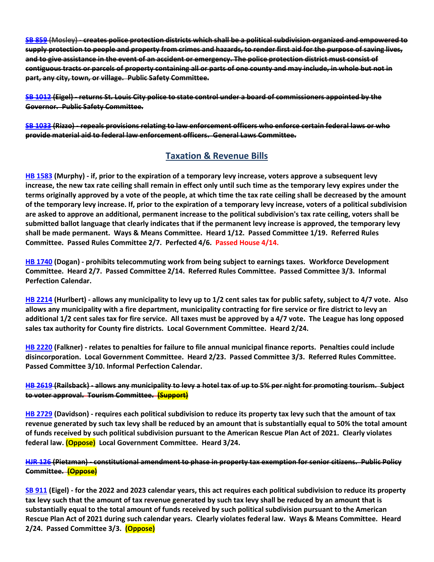**[SB 859](https://www.senate.mo.gov/22info/BTS_Web/Bill.aspx?SessionType=R&BillID=71259622) (Mosley) - creates police protection districts which shall be a political subdivision organized and empowered to supply protection to people and property from crimes and hazards, to render first aid for the purpose of saving lives, and to give assistance in the event of an accident or emergency. The police protection district must consist of contiguous tracts or parcels of property containing all or parts of one county and may include, in whole but not in part, any city, town, or village. Public Safety Committee.**

**[SB 1012](https://www.senate.mo.gov/22info/BTS_Web/Bill.aspx?SessionType=R&BillID=72392417) (Eigel) - returns St. Louis City police to state control under a board of commissioners appointed by the Governor. Public Safety Committee.**

**[SB 1033](https://www.senate.mo.gov/22info/BTS_Web/Bill.aspx?SessionType=R&BillID=72748800) (Rizzo) - repeals provisions relating to law enforcement officers who enforce certain federal laws or who provide material aid to federal law enforcement officers. General Laws Committee.**

## **Taxation & Revenue Bills**

**[HB 1583](https://house.mo.gov/Bill.aspx?bill=HB1583&year=2022&code=R) (Murphy) - if, prior to the expiration of a temporary levy increase, voters approve a subsequent levy increase, the new tax rate ceiling shall remain in effect only until such time as the temporary levy expires under the terms originally approved by a vote of the people, at which time the tax rate ceiling shall be decreased by the amount of the temporary levy increase. If, prior to the expiration of a temporary levy increase, voters of a political subdivision are asked to approve an additional, permanent increase to the political subdivision's tax rate ceiling, voters shall be submitted ballot language that clearly indicates that if the permanent levy increase is approved, the temporary levy shall be made permanent. Ways & Means Committee. Heard 1/12. Passed Committee 1/19. Referred Rules Committee. Passed Rules Committee 2/7. Perfected 4/6. Passed House 4/14.**

**[HB 1740](https://house.mo.gov/Bill.aspx?bill=HB1740&year=2022&code=R) (Dogan) - prohibits telecommuting work from being subject to earnings taxes. Workforce Development Committee. Heard 2/7. Passed Committee 2/14. Referred Rules Committee. Passed Committee 3/3. Informal Perfection Calendar.**

**[HB 2214](https://house.mo.gov/Bill.aspx?bill=HB2214&year=2022&code=R) (Hurlbert) - allows any municipality to levy up to 1/2 cent sales tax for public safety, subject to 4/7 vote. Also allows any municipality with a fire department, municipality contracting for fire service or fire district to levy an additional 1/2 cent sales tax for fire service. All taxes must be approved by a 4/7 vote. The League has long opposed sales tax authority for County fire districts. Local Government Committee. Heard 2/24.**

**[HB 2220](https://house.mo.gov/Bill.aspx?bill=HB2220&year=2022&code=R) (Falkner) - relates to penalties for failure to file annual municipal finance reports. Penalties could include disincorporation. Local Government Committee. Heard 2/23. Passed Committee 3/3. Referred Rules Committee. Passed Committee 3/10. Informal Perfection Calendar.**

#### **[HB 2619](https://www.house.mo.gov/Bill.aspx?bill=HB2619&year=2022&code=R) (Railsback) - allows any municipality to levy a hotel tax of up to 5% per night for promoting tourism. Subject to voter approval. Tourism Committee. (Support)**

**[HB 2729](https://www.house.mo.gov/Bill.aspx?bill=HB2729&year=2022&code=R) (Davidson) - requires each political subdivision to reduce its property tax levy such that the amount of tax revenue generated by such tax levy shall be reduced by an amount that is substantially equal to 50% the total amount of funds received by such political subdivision pursuant to the American Rescue Plan Act of 2021. Clearly violates federal law. (Oppose) Local Government Committee. Heard 3/24.**

#### **[HJR 126](https://www.house.mo.gov/Bill.aspx?bill=HJR126&year=2022&code=R) (Pietzman) - constitutional amendment to phase in property tax exemption for senior citizens. Public Policy Committee. (Oppose)**

**[SB 911](https://www.senate.mo.gov/22info/BTS_Web/Bill.aspx?SessionType=R&BillID=71259794) (Eigel) - for the 2022 and 2023 calendar years, this act requires each political subdivision to reduce its property tax levy such that the amount of tax revenue generated by such tax levy shall be reduced by an amount that is substantially equal to the total amount of funds received by such political subdivision pursuant to the American Rescue Plan Act of 2021 during such calendar years. Clearly violates federal law. Ways & Means Committee. Heard 2/24. Passed Committee 3/3. (Oppose)**